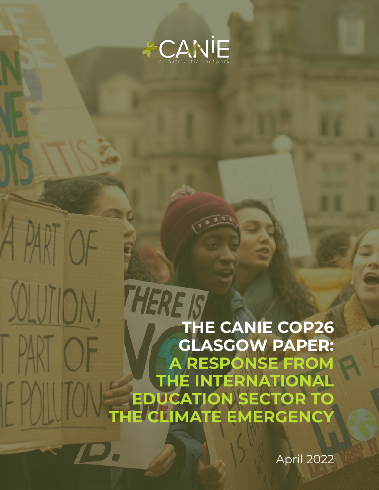

### SOLUTION, THE RE IS CANIE COP26 **PART OF** GLASGOW PAPER: A RESPONSE FROM THE INTERNATIONAL FPOILLO EDUCATION SECTOR TO THE CLIMATE EMERGENCY

A PART OF

April 2022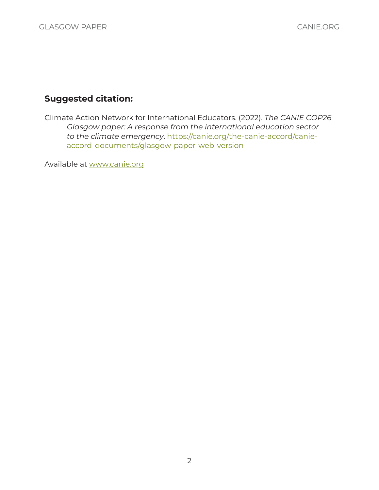### Suggested citation:

Climate Action Network for International Educators. (2022). *The CANIE COP26 Glasgow paper: A response from the international education sector to the climate emergency*. [https://canie.org/the-canie-accord/canie](https://canie.org/the-canie-accord/canie-accord-documents/glasgow-paper-web-version)[accord-documents/glasgow-paper-web-version](https://canie.org/the-canie-accord/canie-accord-documents/glasgow-paper-web-version)

Available at [www.canie.org](http://www.canie.org)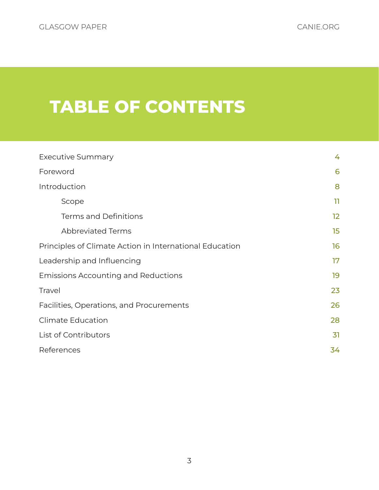# TABLE OF CONTENTS

| <b>Executive Summary</b>                                | 4               |
|---------------------------------------------------------|-----------------|
| Foreword                                                | 6               |
| Introduction                                            | 8               |
| Scope                                                   | 11              |
| <b>Terms and Definitions</b>                            | 12 <sub>2</sub> |
| <b>Abbreviated Terms</b>                                | 15              |
| Principles of Climate Action in International Education | 16              |
| Leadership and Influencing                              | 17              |
| <b>Emissions Accounting and Reductions</b>              | 19              |
| Travel                                                  | 23              |
| Facilities, Operations, and Procurements                | 26              |
| <b>Climate Education</b>                                | 28              |
| List of Contributors                                    | 31              |
| References                                              | 34              |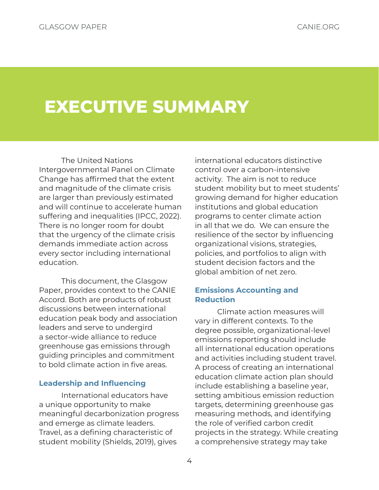# <span id="page-3-0"></span>EXECUTIVE SUMMARY

The United Nations Intergovernmental Panel on Climate Change has affirmed that the extent and magnitude of the climate crisis are larger than previously estimated and will continue to accelerate human suffering and inequalities (IPCC, 2022). There is no longer room for doubt that the urgency of the climate crisis demands immediate action across every sector including international education.

This document, the Glasgow Paper, provides context to the CANIE Accord. Both are products of robust discussions between international education peak body and association leaders and serve to undergird a sector-wide alliance to reduce greenhouse gas emissions through guiding principles and commitment to bold climate action in five areas.

### Leadership and Influencing

International educators have a unique opportunity to make meaningful decarbonization progress and emerge as climate leaders. Travel, as a defining characteristic of student mobility (Shields, 2019), gives

international educators distinctive control over a carbon-intensive activity. The aim is not to reduce student mobility but to meet students' growing demand for higher education institutions and global education programs to center climate action in all that we do. We can ensure the resilience of the sector by influencing organizational visions, strategies, policies, and portfolios to align with student decision factors and the global ambition of net zero.

### Emissions Accounting and **Reduction**

Climate action measures will vary in different contexts. To the degree possible, organizational-level emissions reporting should include all international education operations and activities including student travel. A process of creating an international education climate action plan should include establishing a baseline year, setting ambitious emission reduction targets, determining greenhouse gas measuring methods, and identifying the role of verified carbon credit projects in the strategy. While creating a comprehensive strategy may take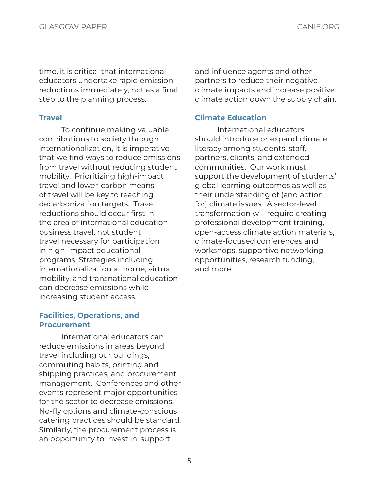time, it is critical that international educators undertake rapid emission reductions immediately, not as a final step to the planning process.

### **Travel**

To continue making valuable contributions to society through internationalization, it is imperative that we find ways to reduce emissions from travel without reducing student mobility. Prioritizing high-impact travel and lower-carbon means of travel will be key to reaching decarbonization targets. Travel reductions should occur first in the area of international education business travel, not student travel necessary for participation in high-impact educational programs. Strategies including internationalization at home, virtual mobility, and transnational education can decrease emissions while increasing student access.

### Facilities, Operations, and **Procurement**

International educators can reduce emissions in areas beyond travel including our buildings, commuting habits, printing and shipping practices, and procurement management. Conferences and other events represent major opportunities for the sector to decrease emissions. No-fly options and climate-conscious catering practices should be standard. Similarly, the procurement process is an opportunity to invest in, support,

and influence agents and other partners to reduce their negative climate impacts and increase positive climate action down the supply chain.

### Climate Education

International educators should introduce or expand climate literacy among students, staff, partners, clients, and extended communities. Our work must support the development of students' global learning outcomes as well as their understanding of (and action for) climate issues. A sector-level transformation will require creating professional development training, open-access climate action materials, climate-focused conferences and workshops, supportive networking opportunities, research funding, and more.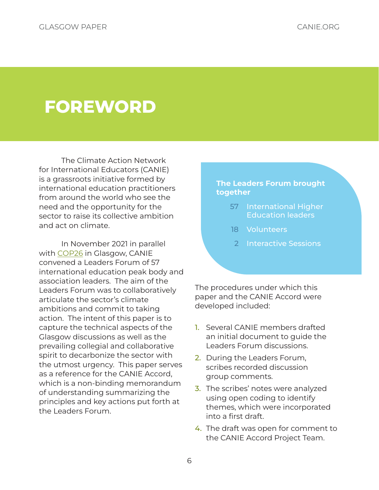# <span id="page-5-0"></span>FOREWORD

The Climate Action Network for International Educators (CANIE) is a grassroots initiative formed by international education practitioners from around the world who see the need and the opportunity for the sector to raise its collective ambition and act on climate.

In November 2021 in parallel with [COP26](#page-12-0) in Glasgow, CANIE convened a Leaders Forum of 57 international education peak body and association leaders. The aim of the Leaders Forum was to collaboratively articulate the sector's climate ambitions and commit to taking action. The intent of this paper is to capture the technical aspects of the Glasgow discussions as well as the prevailing collegial and collaborative spirit to decarbonize the sector with the utmost urgency. This paper serves as a reference for the CANIE Accord, which is a non-binding memorandum of understanding summarizing the principles and key actions put forth at the Leaders Forum.

### The Leaders Forum brought together

- 57 International Higher Education leaders
- 18 Volunteers
- 2 Interactive Sessions

The procedures under which this paper and the CANIE Accord were developed included:

- 1. Several CANIE members drafted an initial document to guide the Leaders Forum discussions.
- 2. During the Leaders Forum, scribes recorded discussion group comments.
- 3. The scribes' notes were analyzed using open coding to identify themes, which were incorporated into a first draft.
- 4. The draft was open for comment to the CANIE Accord Project Team.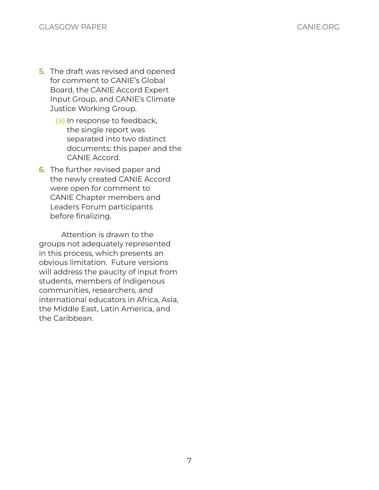- 5. The draft was revised and opened for comment to CANIE's Global Board, the CANIE Accord Expert Input Group, and CANIE's Climate Justice Working Group.
	- (a) In response to feedback, the single report was separated into two distinct documents: this paper and the CANIE Accord.
- 6. The further revised paper and the newly created CANIE Accord were open for comment to CANIE Chapter members and Leaders Forum participants before finalizing.

Attention is drawn to the groups not adequately represented in this process, which presents an obvious limitation. Future versions will address the paucity of input from students, members of Indigenous communities, researchers, and international educators in Africa, Asia, the Middle East, Latin America, and the Caribbean.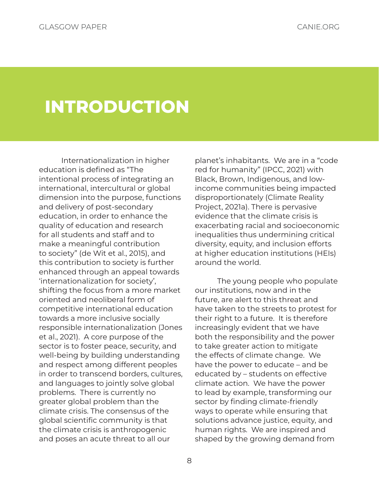# <span id="page-7-0"></span>INTRODUCTION

Internationalization in higher education is defined as "The intentional process of integrating an international, intercultural or global dimension into the purpose, functions and delivery of post-secondary education, in order to enhance the quality of education and research for all students and staff and to make a meaningful contribution to society" (de Wit et al., 2015), and this contribution to society is further enhanced through an appeal towards 'internationalization for society', shifting the focus from a more market oriented and neoliberal form of competitive international education towards a more inclusive socially responsible internationalization (Jones et al., 2021). A core purpose of the sector is to foster peace, security, and well-being by building understanding and respect among different peoples in order to transcend borders, cultures, and languages to jointly solve global problems. There is currently no greater global problem than the climate crisis. The consensus of the global scientific community is that the climate crisis is anthropogenic and poses an acute threat to all our

planet's inhabitants. We are in a "code red for humanity" (IPCC, 2021) with Black, Brown, Indigenous, and lowincome communities being impacted disproportionately (Climate Reality Project, 2021a). There is pervasive evidence that the climate crisis is exacerbating racial and socioeconomic inequalities thus undermining critical diversity, equity, and inclusion efforts at higher education institutions (HEIs) around the world.

The young people who populate our institutions, now and in the future, are alert to this threat and have taken to the streets to protest for their right to a future. It is therefore increasingly evident that we have both the responsibility and the power to take greater action to mitigate the effects of climate change. We have the power to educate – and be educated by – students on effective climate action. We have the power to lead by example, transforming our sector by finding climate-friendly ways to operate while ensuring that solutions advance justice, equity, and human rights. We are inspired and shaped by the growing demand from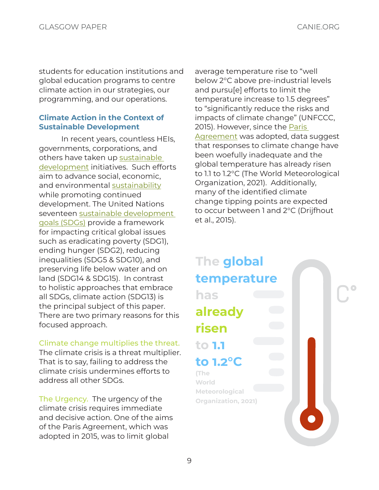students for education institutions and global education programs to centre climate action in our strategies, our programming, and our operations.

### Climate Action in the Context of Sustainable Development

In recent years, countless HEIs, governments, corporations, and others have taken up [sustainable](#page-13-0)  [development](#page-13-0) initiatives. Such efforts aim to advance social, economic, and environmental [sustainability](#page-13-1) while promoting continued development. The United Nations seventeen [sustainable development](#page-13-2)  [goals \(SDGs\)](#page-13-2) provide a framework for impacting critical global issues such as eradicating poverty (SDG1), ending hunger (SDG2), reducing inequalities (SDG5 & SDG10), and preserving life below water and on land (SDG14 & SDG15). In contrast to holistic approaches that embrace all SDGs, climate action (SDG13) is the principal subject of this paper. There are two primary reasons for this focused approach.

### Climate change multiplies the threat.

The climate crisis is a threat multiplier. That is to say, failing to address the climate crisis undermines efforts to address all other SDGs.

The Urgency. The urgency of the climate crisis requires immediate and decisive action. One of the aims of the Paris Agreement, which was adopted in 2015, was to limit global

average temperature rise to "well below 2°C above pre-industrial levels and pursu[e] efforts to limit the temperature increase to 1.5 degrees" to "significantly reduce the risks and impacts of climate change" (UNFCCC, 2015). However, since the [Paris](#page-13-3)  [Agreement](#page-13-3) was adopted, data suggest that responses to climate change have been woefully inadequate and the global temperature has already risen to 1.1 to 1.2°C (The World Meteorological Organization, 2021). Additionally, many of the identified climate change tipping points are expected to occur between 1 and 2°C (Drijfhout et al., 2015).

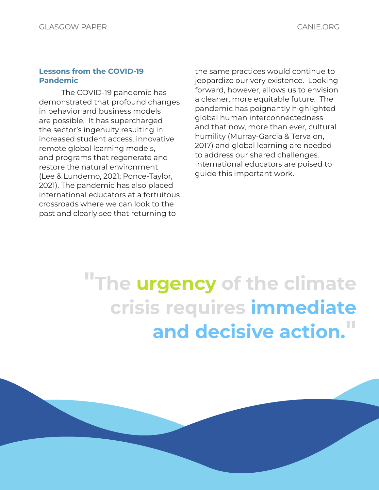#### Lessons from the COVID-19 Pandemic

The COVID-19 pandemic has demonstrated that profound changes in behavior and business models are possible. It has supercharged the sector's ingenuity resulting in increased student access, innovative remote global learning models, and programs that regenerate and restore the natural environment (Lee & Lundemo, 2021; Ponce-Taylor, 2021). The pandemic has also placed international educators at a fortuitous crossroads where we can look to the past and clearly see that returning to

the same practices would continue to jeopardize our very existence. Looking forward, however, allows us to envision a cleaner, more equitable future. The pandemic has poignantly highlighted global human interconnectedness and that now, more than ever, cultural humility (Murray-Garcia & Tervalon, 2017) and global learning are needed to address our shared challenges. International educators are poised to guide this important work.

# "The urgency of the climate crisis requires immediate and decisive action."

10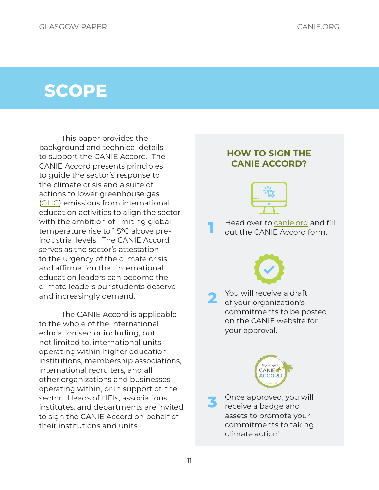### <span id="page-10-0"></span>**SCOPE**

This paper provides the background and technical details to support the CANIE Accord. The CANIE Accord presents principles to guide the sector's response to the climate crisis and a suite of actions to lower greenhouse gas ([GHG](#page-12-1)) emissions from international education activities to align the sector with the ambition of limiting global temperature rise to 1.5°C above preindustrial levels. The CANIE Accord serves as the sector's attestation to the urgency of the climate crisis and affirmation that international education leaders can become the climate leaders our students deserve and increasingly demand.

The CANIE Accord is applicable to the whole of the international education sector including, but not limited to, international units operating within higher education institutions, membership associations, international recruiters, and all other organizations and businesses operating within, or in support of, the sector. Heads of HEIs, associations, institutes, and departments are invited to sign the CANIE Accord on behalf of their institutions and units.

# HOW TO SIGN THE CANIE ACCORD? **1** Head over to [canie.org](http://canie.org) and fill<br>a cout the CANIE Accord form. 2 You will receive a draft<br>
of your organization's commitments to be posted on the CANIE website for your approval. **CANIE** ACCORI Once approved, you will receive a badge and assets to promote your

commitments to taking

climate action!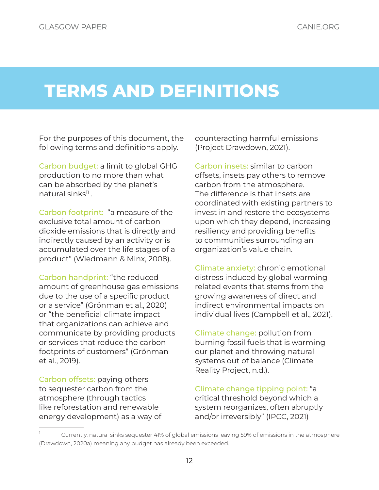# <span id="page-11-0"></span>TERMS AND DEFINITIONS

For the purposes of this document, the following terms and definitions apply.

<span id="page-11-3"></span>Carbon budget: a limit to global GHG production to no more than what can be absorbed by the planet's natural sinks $\mathrm{^{11}}$  .

Carbon footprint: "a measure of the exclusive total amount of carbon dioxide emissions that is directly and indirectly caused by an activity or is accumulated over the life stages of a product" (Wiedmann & Minx, 2008).

Carbon handprint: "the reduced amount of greenhouse gas emissions due to the use of a specific product or a service" (Grönman et al., 2020) or "the beneficial climate impact that organizations can achieve and communicate by providing products or services that reduce the carbon footprints of customers" (Grönman et al., 2019).

<span id="page-11-2"></span>Carbon offsets: paying others to sequester carbon from the atmosphere (through tactics like reforestation and renewable energy development) as a way of counteracting harmful emissions (Project Drawdown, 2021).

<span id="page-11-1"></span>Carbon insets: similar to carbon offsets, insets pay others to remove carbon from the atmosphere. The difference is that insets are coordinated with existing partners to invest in and restore the ecosystems upon which they depend, increasing resiliency and providing benefits to communities surrounding an organization's value chain.

Climate anxiety: chronic emotional distress induced by global warmingrelated events that stems from the growing awareness of direct and indirect environmental impacts on individual lives (Campbell et al., 2021).

Climate change: pollution from burning fossil fuels that is warming our planet and throwing natural systems out of balance (Climate Reality Project, n.d.).

Climate change tipping point: "a critical threshold beyond which a system reorganizes, often abruptly and/or irreversibly" (IPCC, 2021)

Currently, natural sinks sequester 41% of global emissions leaving 59% of emissions in the atmosphere (Drawdown, 2020a) meaning any budget has already been exceeded.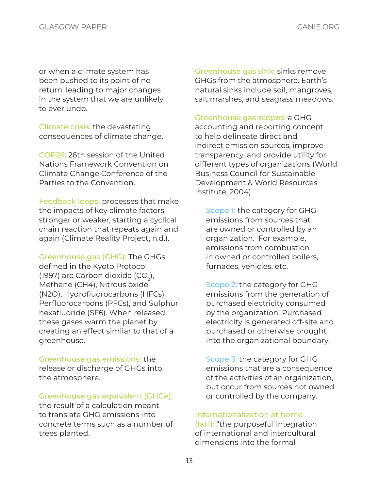or when a climate system has been pushed to its point of no return, leading to major changes in the system that we are unlikely to ever undo.

Climate crisis: the devastating consequences of climate change.

<span id="page-12-0"></span>COP26: 26th session of the United Nations Framework Convention on Climate Change Conference of the Parties to the Convention.

Feedback loops: processes that make the impacts of key climate factors stronger or weaker, starting a cyclical chain reaction that repeats again and again (Climate Reality Project, n.d.).

<span id="page-12-1"></span>Greenhouse gas (GHG): The GHGs defined in the Kyoto Protocol (1997) are Carbon dioxide (CO $_2$ ), Methane (CH4), Nitrous oxide (N2O), Hydrofluorocarbons (HFCs), Perfluorocarbons (PFCs), and Sulphur hexafluoride (SF6). When released, these gases warm the planet by creating an effect similar to that of a greenhouse.

Greenhouse gas emissions: the release or discharge of GHGs into the atmosphere.

### <span id="page-12-2"></span>Greenhouse gas equivalent (GHGe):

the result of a calculation meant to translate GHG emissions into concrete terms such as a number of trees planted.

Greenhouse gas sink: sinks remove GHGs from the atmosphere. Earth's natural sinks include soil, mangroves, salt marshes, and seagrass meadows.

Greenhouse gas scopes: a GHG accounting and reporting concept to help delineate direct and indirect emission sources, improve transparency, and provide utility for different types of organizations (World Business Council for Sustainable Development & World Resources Institute, 2004)

Scope 1: the category for GHG emissions from sources that are owned or controlled by an organization. For example, emissions from combustion in owned or controlled boilers, furnaces, vehicles, etc.

Scope 2: the category for GHG emissions from the generation of purchased electricity consumed by the organization. Purchased electricity is generated off-site and purchased or otherwise brought into the organizational boundary.

Scope 3: the category for GHG emissions that are a consequence of the activities of an organization, but occur from sources not owned or controlled by the company.

#### <span id="page-12-3"></span>Internationalization at home

(IaH): "the purposeful integration of international and intercultural dimensions into the formal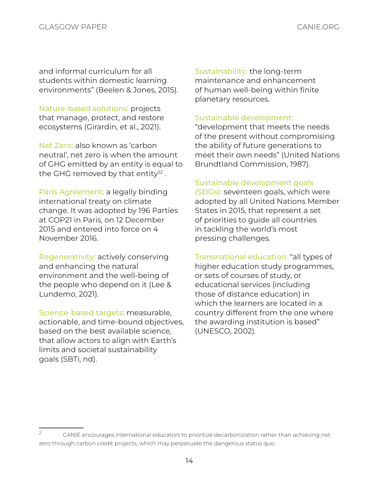and informal curriculum for all students within domestic learning environments" (Beelen & Jones, 2015).

<span id="page-13-5"></span>Nature-based solutions: projects that manage, protect, and restore ecosystems (Girardin, et al., 2021).

Net Zero: also known as 'carbon neutral', net zero is when the amount of GHG emitted by an entity is equal to the GHG removed by that entity $^{22}$  .

<span id="page-13-3"></span>Paris Agreement: a legally binding international treaty on climate change. It was adopted by 196 Parties at COP21 in Paris, on 12 December 2015 and entered into force on 4 November 2016.

Regenerativity: actively conserving and enhancing the natural environment and the well-being of the people who depend on it (Lee & Lundemo, 2021).

Science-based targets: measurable, actionable, and time-bound objectives, based on the best available science, that allow actors to align with Earth's limits and societal sustainability goals (SBTi, nd).

<span id="page-13-1"></span>Sustainability: the long-term maintenance and enhancement of human well-being within finite planetary resources.

### <span id="page-13-0"></span>Sustainable development:

"development that meets the needs of the present without compromising the ability of future generations to meet their own needs" (United Nations Brundtland Commission, 1987).

### <span id="page-13-2"></span>Sustainable development goals

(SDGs): seventeen goals, which were adopted by all United Nations Member States in 2015, that represent a set of priorities to guide all countries in tackling the world's most pressing challenges.

<span id="page-13-4"></span>Transnational education: "all types of higher education study programmes, or sets of courses of study, or educational services (including those of distance education) in which the learners are located in a country different from the one where the awarding institution is based" (UNESCO, 2002).

<sup>&</sup>lt;sup>2</sup> CANIE encourages international educators to prioritize decarbonization rather than achieving net zero through carbon credit projects, which may perpetuate the dangerous status quo.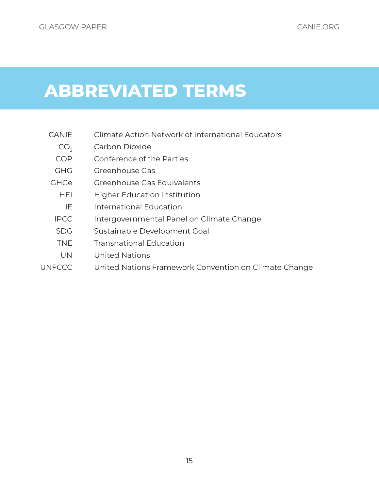# <span id="page-14-0"></span>ABBREVIATED TERMS

- CANIE Climate Action Network of International Educators
	- CO<sub>2</sub> Carbon Dioxide
	- COP Conference of the Parties
	- GHG Greenhouse Gas
- GHGe Greenhouse Gas Equivalents
	- HEI Higher Education Institution
	- IE International Education
	- IPCC Intergovernmental Panel on Climate Change
	- SDG Sustainable Development Goal
	- TNE Transnational Education
	- UN United Nations
- UNFCCC United Nations Framework Convention on Climate Change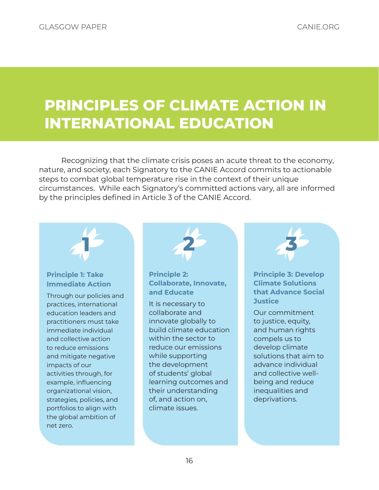### <span id="page-15-0"></span>PRINCIPLES OF CLIMATE ACTION IN INTERNATIONAL EDUCATION

Recognizing that the climate crisis poses an acute threat to the economy, nature, and society, each Signatory to the CANIE Accord commits to actionable steps to combat global temperature rise in the context of their unique circumstances. While each Signatory's committed actions vary, all are informed by the principles defined in Article 3 of the CANIE Accord.



### Principle 1: Take Immediate Action

Through our policies and practices, international education leaders and practitioners must take immediate individual and collective action to reduce emissions and mitigate negative impacts of our activities through, for example, influencing organizational vision, strategies, policies, and portfolios to align with the global ambition of net zero.



Principle 2: Collaborate, Innovate, and Educate

It is necessary to collaborate and innovate globally to build climate education within the sector to reduce our emissions while supporting the development of students' global learning outcomes and their understanding of, and action on, climate issues.



Principle 3: Develop Climate Solutions that Advance Social **Justice** 

Our commitment to justice, equity, and human rights compels us to develop climate solutions that aim to advance individual and collective wellbeing and reduce inequalities and deprivations.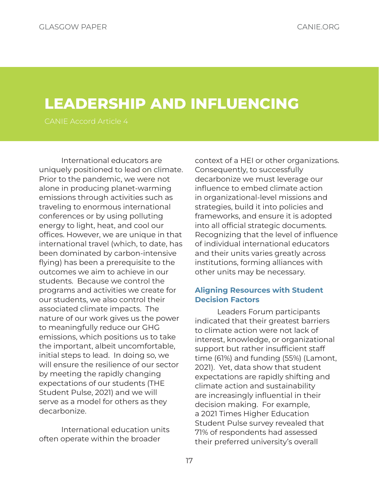### <span id="page-16-0"></span>LEADERSHIP AND INFLUENCING

International educators are uniquely positioned to lead on climate. Prior to the pandemic, we were not alone in producing planet-warming emissions through activities such as traveling to enormous international conferences or by using polluting energy to light, heat, and cool our offices. However, we are unique in that international travel (which, to date, has been dominated by carbon-intensive flying) has been a prerequisite to the outcomes we aim to achieve in our students. Because we control the programs and activities we create for our students, we also control their associated climate impacts. The nature of our work gives us the power to meaningfully reduce our GHG emissions, which positions us to take the important, albeit uncomfortable, initial steps to lead. In doing so, we will ensure the resilience of our sector by meeting the rapidly changing expectations of our students (THE Student Pulse, 2021) and we will serve as a model for others as they decarbonize.

International education units often operate within the broader

context of a HEI or other organizations. Consequently, to successfully decarbonize we must leverage our influence to embed climate action in organizational-level missions and strategies, build it into policies and frameworks, and ensure it is adopted into all official strategic documents. Recognizing that the level of influence of individual international educators and their units varies greatly across institutions, forming alliances with other units may be necessary.

### Aligning Resources with Student Decision Factors

Leaders Forum participants indicated that their greatest barriers to climate action were not lack of interest, knowledge, or organizational support but rather insufficient staff time (61%) and funding (55%) (Lamont, 2021). Yet, data show that student expectations are rapidly shifting and climate action and sustainability are increasingly influential in their decision making. For example, a 2021 Times Higher Education Student Pulse survey revealed that 71% of respondents had assessed their preferred university's overall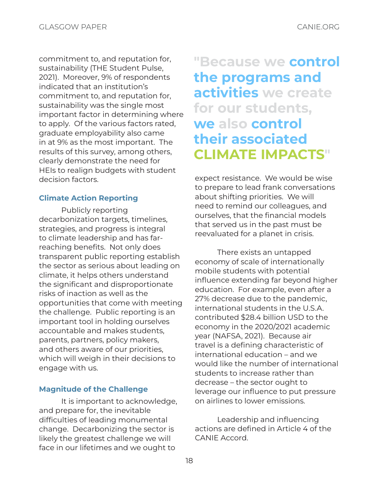commitment to, and reputation for, sustainability (THE Student Pulse, 2021). Moreover, 9% of respondents indicated that an institution's commitment to, and reputation for, sustainability was the single most important factor in determining where to apply. Of the various factors rated, graduate employability also came in at 9% as the most important. The results of this survey, among others, clearly demonstrate the need for HEIs to realign budgets with student decision factors.

### Climate Action Reporting

Publicly reporting decarbonization targets, timelines, strategies, and progress is integral to climate leadership and has farreaching benefits. Not only does transparent public reporting establish the sector as serious about leading on climate, it helps others understand the significant and disproportionate risks of inaction as well as the opportunities that come with meeting the challenge. Public reporting is an important tool in holding ourselves accountable and makes students, parents, partners, policy makers, and others aware of our priorities, which will weigh in their decisions to engage with us.

### Magnitude of the Challenge

It is important to acknowledge, and prepare for, the inevitable difficulties of leading monumental change. Decarbonizing the sector is likely the greatest challenge we will face in our lifetimes and we ought to

### "Because we control the programs and activities we create for our students, we also control their associated CLIMATE IMPACTS"

expect resistance. We would be wise to prepare to lead frank conversations about shifting priorities. We will need to remind our colleagues, and ourselves, that the financial models that served us in the past must be reevaluated for a planet in crisis.

There exists an untapped economy of scale of internationally mobile students with potential influence extending far beyond higher education. For example, even after a 27% decrease due to the pandemic, international students in the U.S.A. contributed \$28.4 billion USD to the economy in the 2020/2021 academic year (NAFSA, 2021). Because air travel is a defining characteristic of international education – and we would like the number of international students to increase rather than decrease – the sector ought to leverage our influence to put pressure on airlines to lower emissions.

Leadership and influencing actions are defined in Article 4 of the CANIE Accord.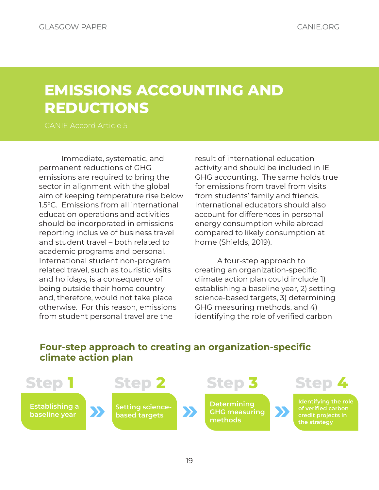### <span id="page-18-0"></span>EMISSIONS ACCOUNTING AND REDUCTIONS

Immediate, systematic, and permanent reductions of GHG emissions are required to bring the sector in alignment with the global aim of keeping temperature rise below 1.5°C. Emissions from all international education operations and activities should be incorporated in emissions reporting inclusive of business travel and student travel – both related to academic programs and personal. International student non-program related travel, such as touristic visits and holidays, is a consequence of being outside their home country and, therefore, would not take place otherwise. For this reason, emissions from student personal travel are the

result of international education activity and should be included in IE GHG accounting. The same holds true for emissions from travel from visits from students' family and friends. International educators should also account for differences in personal energy consumption while abroad compared to likely consumption at home (Shields, 2019).

A four-step approach to creating an organization-specific climate action plan could include 1) establishing a baseline year, 2) setting science-based targets, 3) determining GHG measuring methods, and 4) identifying the role of verified carbon

### Four-step approach to creating an organization-specific climate action plan

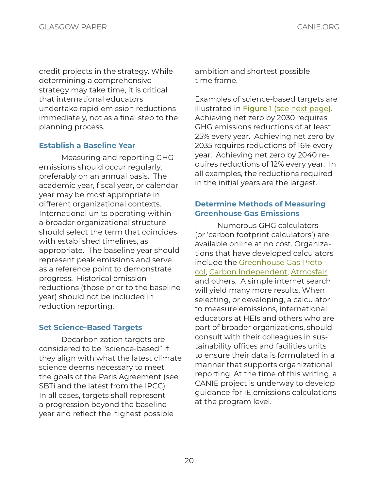credit projects in the strategy. While determining a comprehensive strategy may take time, it is critical that international educators undertake rapid emission reductions immediately, not as a final step to the planning process.

### Establish a Baseline Year

Measuring and reporting GHG emissions should occur regularly, preferably on an annual basis. The academic year, fiscal year, or calendar year may be most appropriate in different organizational contexts. International units operating within a broader organizational structure should select the term that coincides with established timelines, as appropriate. The baseline year should represent peak emissions and serve as a reference point to demonstrate progress. Historical emission reductions (those prior to the baseline year) should not be included in reduction reporting.

### Set Science-Based Targets

Decarbonization targets are considered to be "science-based" if they align with what the latest climate science deems necessary to meet the goals of the Paris Agreement (see SBTi and the latest from the IPCC). In all cases, targets shall represent a progression beyond the baseline year and reflect the highest possible

ambition and shortest possible time frame.

Examples of science-based targets are illustrated in Figure 1 ([see next page\)](#page-20-0). Achieving net zero by 2030 requires GHG emissions reductions of at least 25% every year. Achieving net zero by 2035 requires reductions of 16% every year. Achieving net zero by 2040 requires reductions of 12% every year. In all examples, the reductions required in the initial years are the largest.

### Determine Methods of Measuring Greenhouse Gas Emissions

Numerous GHG calculators (or 'carbon footprint calculators') are available online at no cost. Organizations that have developed calculators include the [Greenhouse Gas Proto](https://ghgprotocol.org/ghg-emissions-calculation-tool)[col](https://ghgprotocol.org/ghg-emissions-calculation-tool), [Carbon Independent](https://www.carbonindependent.org), [Atmosfair,](https://www.atmosfair.de/en/standards/emissions_calculation/) and others. A simple internet search will yield many more results. When selecting, or developing, a calculator to measure emissions, international educators at HEIs and others who are part of broader organizations, should consult with their colleagues in sustainability offices and facilities units to ensure their data is formulated in a manner that supports organizational reporting. At the time of this writing, a CANIE project is underway to develop guidance for IE emissions calculations at the program level.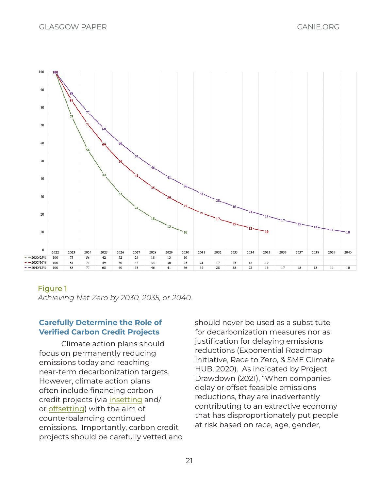<span id="page-20-0"></span>

### Figure 1

*Achieving Net Zero by 2030, 2035, or 2040.*

### Carefully Determine the Role of Verified Carbon Credit Projects

Climate action plans should focus on permanently reducing emissions today and reaching near-term decarbonization targets. However, climate action plans often include financing carbon credit projects (via [insetting](#page-11-1) and/ or [offsetting](#page-11-2)) with the aim of counterbalancing continued emissions. Importantly, carbon credit projects should be carefully vetted and

should never be used as a substitute for decarbonization measures nor as justification for delaying emissions reductions (Exponential Roadmap Initiative, Race to Zero, & SME Climate HUB, 2020). As indicated by Project Drawdown (2021), "When companies delay or offset feasible emissions reductions, they are inadvertently contributing to an extractive economy that has disproportionately put people at risk based on race, age, gender,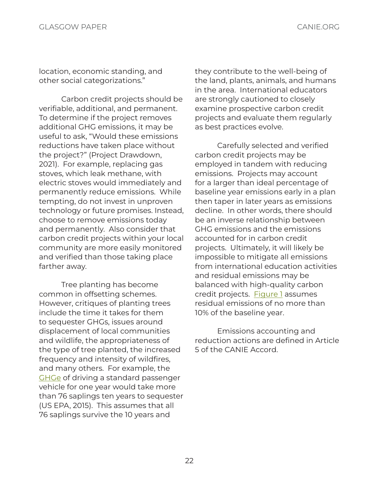location, economic standing, and other social categorizations."

Carbon credit projects should be verifiable, additional, and permanent. To determine if the project removes additional GHG emissions, it may be useful to ask, "Would these emissions reductions have taken place without the project?" (Project Drawdown, 2021). For example, replacing gas stoves, which leak methane, with electric stoves would immediately and permanently reduce emissions. While tempting, do not invest in unproven technology or future promises. Instead, choose to remove emissions today and permanently. Also consider that carbon credit projects within your local community are more easily monitored and verified than those taking place farther away.

Tree planting has become common in offsetting schemes. However, critiques of planting trees include the time it takes for them to sequester GHGs, issues around displacement of local communities and wildlife, the appropriateness of the type of tree planted, the increased frequency and intensity of wildfires, and many others. For example, the [GHGe](#page-12-2) of driving a standard passenger vehicle for one year would take more than 76 saplings ten years to sequester (US EPA, 2015). This assumes that all 76 saplings survive the 10 years and

they contribute to the well-being of the land, plants, animals, and humans in the area. International educators are strongly cautioned to closely examine prospective carbon credit projects and evaluate them regularly as best practices evolve.

Carefully selected and verified carbon credit projects may be employed in tandem with reducing emissions. Projects may account for a larger than ideal percentage of baseline year emissions early in a plan then taper in later years as emissions decline. In other words, there should be an inverse relationship between GHG emissions and the emissions accounted for in carbon credit projects. Ultimately, it will likely be impossible to mitigate all emissions from international education activities and residual emissions may be balanced with high-quality carbon credit projects. [Figure 1](#page-20-0) assumes residual emissions of no more than 10% of the baseline year.

Emissions accounting and reduction actions are defined in Article 5 of the CANIE Accord.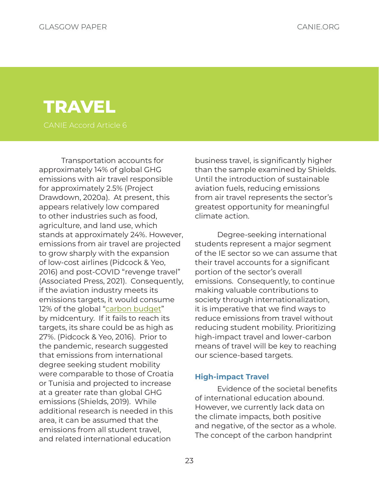# <span id="page-22-0"></span>**TRAVEL**

Transportation accounts for approximately 14% of global GHG emissions with air travel responsible for approximately 2.5% (Project Drawdown, 2020a). At present, this appears relatively low compared to other industries such as food, agriculture, and land use, which stands at approximately 24%. However, emissions from air travel are projected to grow sharply with the expansion of low-cost airlines (Pidcock & Yeo, 2016) and post-COVID "revenge travel" (Associated Press, 2021). Consequently, if the aviation industry meets its emissions targets, it would consume 12% of the global "[carbon budget"](#page-11-3) by midcentury. If it fails to reach its targets, its share could be as high as 27%. (Pidcock & Yeo, 2016). Prior to the pandemic, research suggested that emissions from international degree seeking student mobility were comparable to those of Croatia or Tunisia and projected to increase at a greater rate than global GHG emissions (Shields, 2019). While additional research is needed in this area, it can be assumed that the emissions from all student travel, and related international education

business travel, is significantly higher than the sample examined by Shields. Until the introduction of sustainable aviation fuels, reducing emissions from air travel represents the sector's greatest opportunity for meaningful climate action.

Degree-seeking international students represent a major segment of the IE sector so we can assume that their travel accounts for a significant portion of the sector's overall emissions. Consequently, to continue making valuable contributions to society through internationalization, it is imperative that we find ways to reduce emissions from travel without reducing student mobility. Prioritizing high-impact travel and lower-carbon means of travel will be key to reaching our science-based targets.

#### High-impact Travel

Evidence of the societal benefits of international education abound. However, we currently lack data on the climate impacts, both positive and negative, of the sector as a whole. The concept of the carbon handprint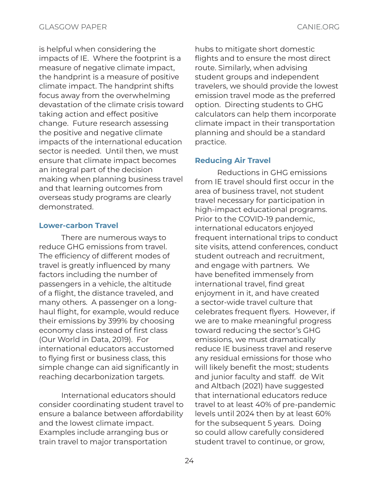is helpful when considering the impacts of IE. Where the footprint is a measure of negative climate impact, the handprint is a measure of positive climate impact. The handprint shifts focus away from the overwhelming devastation of the climate crisis toward taking action and effect positive change. Future research assessing the positive and negative climate impacts of the international education sector is needed. Until then, we must ensure that climate impact becomes an integral part of the decision making when planning business travel and that learning outcomes from overseas study programs are clearly demonstrated.

### Lower-carbon Travel

There are numerous ways to reduce GHG emissions from travel. The efficiency of different modes of travel is greatly influenced by many factors including the number of passengers in a vehicle, the altitude of a flight, the distance traveled, and many others. A passenger on a longhaul flight, for example, would reduce their emissions by 399% by choosing economy class instead of first class (Our World in Data, 2019). For international educators accustomed to flying first or business class, this simple change can aid significantly in reaching decarbonization targets.

International educators should consider coordinating student travel to ensure a balance between affordability and the lowest climate impact. Examples include arranging bus or train travel to major transportation

hubs to mitigate short domestic flights and to ensure the most direct route. Similarly, when advising student groups and independent travelers, we should provide the lowest emission travel mode as the preferred option. Directing students to GHG calculators can help them incorporate climate impact in their transportation planning and should be a standard practice.

### Reducing Air Travel

Reductions in GHG emissions from IE travel should first occur in the area of business travel, not student travel necessary for participation in high-impact educational programs. Prior to the COVID-19 pandemic, international educators enjoyed frequent international trips to conduct site visits, attend conferences, conduct student outreach and recruitment, and engage with partners. We have benefited immensely from international travel, find great enjoyment in it, and have created a sector-wide travel culture that celebrates frequent flyers. However, if we are to make meaningful progress toward reducing the sector's GHG emissions, we must dramatically reduce IE business travel and reserve any residual emissions for those who will likely benefit the most; students and junior faculty and staff. de Wit and Altbach (2021) have suggested that international educators reduce travel to at least 40% of pre-pandemic levels until 2024 then by at least 60% for the subsequent 5 years. Doing so could allow carefully considered student travel to continue, or grow,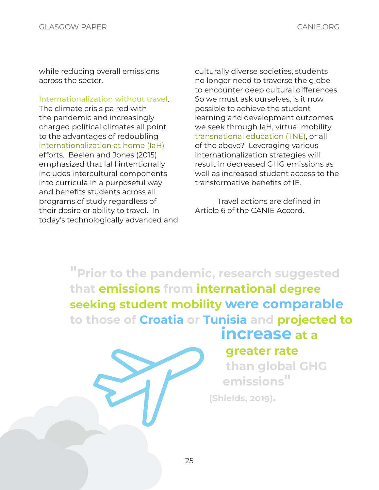while reducing overall emissions across the sector.

Internationalization without travel. The climate crisis paired with the pandemic and increasingly charged political climates all point to the advantages of redoubling [internationalization at home \(IaH\)](#page-12-3) efforts. Beelen and Jones (2015) emphasized that IaH intentionally includes intercultural components into curricula in a purposeful way and benefits students across all programs of study regardless of their desire or ability to travel. In today's technologically advanced and culturally diverse societies, students no longer need to traverse the globe to encounter deep cultural differences. So we must ask ourselves, is it now possible to achieve the student learning and development outcomes we seek through IaH, virtual mobility, [transnational education \(TNE\)](#page-13-4), or all of the above? Leveraging various internationalization strategies will result in decreased GHG emissions as well as increased student access to the transformative benefits of IE.

Travel actions are defined in Article 6 of the CANIE Accord.

"Prior to the pandemic, research suggested that emissions from international degree seeking student mobility were comparable to those of Croatia or Tunisia and projected to

### increase at a

### greater rate

than global GHG emissions" (Shields, 2019).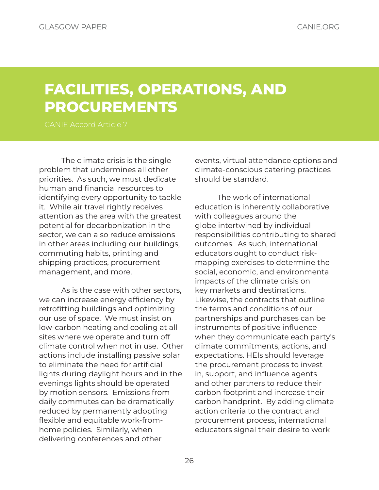### <span id="page-25-0"></span>FACILITIES, OPERATIONS, AND PROCUREMENTS

The climate crisis is the single problem that undermines all other priorities. As such, we must dedicate human and financial resources to identifying every opportunity to tackle it. While air travel rightly receives attention as the area with the greatest potential for decarbonization in the sector, we can also reduce emissions in other areas including our buildings, commuting habits, printing and shipping practices, procurement management, and more.

As is the case with other sectors, we can increase energy efficiency by retrofitting buildings and optimizing our use of space. We must insist on low-carbon heating and cooling at all sites where we operate and turn off climate control when not in use. Other actions include installing passive solar to eliminate the need for artificial lights during daylight hours and in the evenings lights should be operated by motion sensors. Emissions from daily commutes can be dramatically reduced by permanently adopting flexible and equitable work-fromhome policies. Similarly, when delivering conferences and other

events, virtual attendance options and climate-conscious catering practices should be standard.

The work of international education is inherently collaborative with colleagues around the globe intertwined by individual responsibilities contributing to shared outcomes. As such, international educators ought to conduct riskmapping exercises to determine the social, economic, and environmental impacts of the climate crisis on key markets and destinations. Likewise, the contracts that outline the terms and conditions of our partnerships and purchases can be instruments of positive influence when they communicate each party's climate commitments, actions, and expectations. HEIs should leverage the procurement process to invest in, support, and influence agents and other partners to reduce their carbon footprint and increase their carbon handprint. By adding climate action criteria to the contract and procurement process, international educators signal their desire to work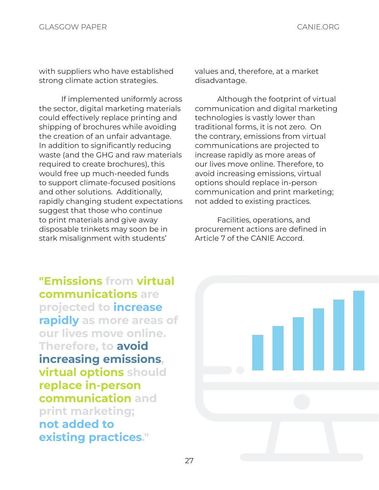with suppliers who have established strong climate action strategies.

If implemented uniformly across the sector, digital marketing materials could effectively replace printing and shipping of brochures while avoiding the creation of an unfair advantage. In addition to significantly reducing waste (and the GHG and raw materials required to create brochures), this would free up much-needed funds to support climate-focused positions and other solutions. Additionally, rapidly changing student expectations suggest that those who continue to print materials and give away disposable trinkets may soon be in stark misalignment with students'

values and, therefore, at a market disadvantage.

Although the footprint of virtual communication and digital marketing technologies is vastly lower than traditional forms, it is not zero. On the contrary, emissions from virtual communications are projected to increase rapidly as more areas of our lives move online. Therefore, to avoid increasing emissions, virtual options should replace in-person communication and print marketing; not added to existing practices.

Facilities, operations, and procurement actions are defined in Article 7 of the CANIE Accord.

"Emissions from virtual communications are projected to increase rapidly as more areas of our lives move online. Therefore, to avoid increasing emissions, virtual options should replace in-person communication and print marketing; not added to existing practices."

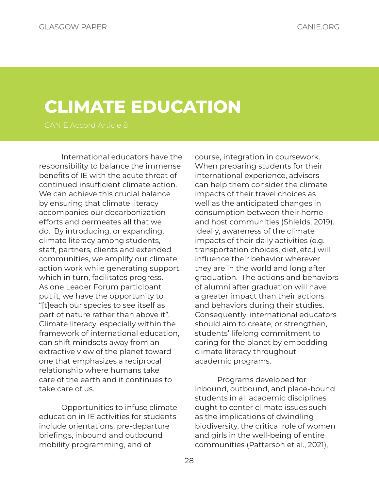# <span id="page-27-0"></span>CLIMATE EDUCATION

International educators have the responsibility to balance the immense benefits of IE with the acute threat of continued insufficient climate action. We can achieve this crucial balance by ensuring that climate literacy accompanies our decarbonization efforts and permeates all that we do. By introducing, or expanding, climate literacy among students, staff, partners, clients and extended communities, we amplify our climate action work while generating support, which in turn, facilitates progress. As one Leader Forum participant put it, we have the opportunity to "[t]each our species to see itself as part of nature rather than above it". Climate literacy, especially within the framework of international education, can shift mindsets away from an extractive view of the planet toward one that emphasizes a reciprocal relationship where humans take care of the earth and it continues to take care of us.

Opportunities to infuse climate education in IE activities for students include orientations, pre-departure briefings, inbound and outbound mobility programming, and of

course, integration in coursework. When preparing students for their international experience, advisors can help them consider the climate impacts of their travel choices as well as the anticipated changes in consumption between their home and host communities (Shields, 2019). Ideally, awareness of the climate impacts of their daily activities (e.g. transportation choices, diet, etc.) will influence their behavior wherever they are in the world and long after graduation. The actions and behaviors of alumni after graduation will have a greater impact than their actions and behaviors during their studies. Consequently, international educators should aim to create, or strengthen, students' lifelong commitment to caring for the planet by embedding climate literacy throughout academic programs.

Programs developed for inbound, outbound, and place-bound students in all academic disciplines ought to center climate issues such as the implications of dwindling biodiversity, the critical role of women and girls in the well-being of entire communities (Patterson et al., 2021),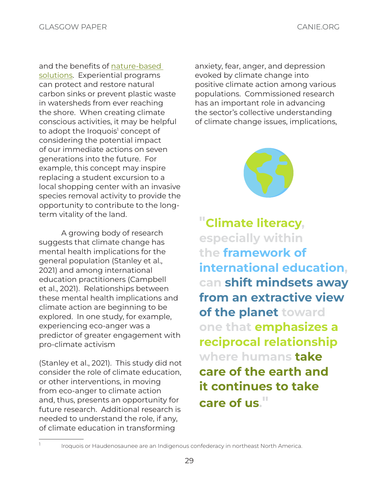and the benefits of [nature-based](#page-13-5)  [solutions](#page-13-5). Experiential programs can protect and restore natural carbon sinks or prevent plastic waste in watersheds from ever reaching the shore. When creating climate conscious activities, it may be helpful to adopt the Iroquois' concept of considering the potential impact of our immediate actions on seven generations into the future. For example, this concept may inspire replacing a student excursion to a local shopping center with an invasive species removal activity to provide the opportunity to contribute to the longterm vitality of the land.

A growing body of research suggests that climate change has mental health implications for the general population (Stanley et al., 2021) and among international education practitioners (Campbell et al., 2021). Relationships between these mental health implications and climate action are beginning to be explored. In one study, for example, experiencing eco-anger was a predictor of greater engagement with pro-climate activism

(Stanley et al., 2021). This study did not consider the role of climate education, or other interventions, in moving from eco-anger to climate action and, thus, presents an opportunity for future research. Additional research is needed to understand the role, if any, of climate education in transforming

anxiety, fear, anger, and depression evoked by climate change into positive climate action among various populations. Commissioned research has an important role in advancing the sector's collective understanding of climate change issues, implications,



"Climate literacy, especially within the framework of international education, can shift mindsets away from an extractive view of the planet toward one that emphasizes a reciprocal relationship where humans take care of the earth and it continues to take care of us."

Iroquois or Haudenosaunee are an Indigenous confederacy in northeast North America.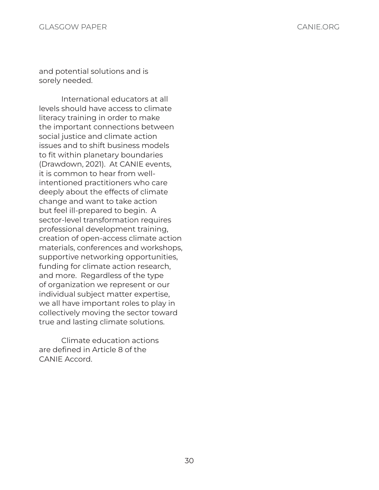and potential solutions and is sorely needed.

International educators at all levels should have access to climate literacy training in order to make the important connections between social justice and climate action issues and to shift business models to fit within planetary boundaries (Drawdown, 2021). At CANIE events, it is common to hear from wellintentioned practitioners who care deeply about the effects of climate change and want to take action but feel ill-prepared to begin. A sector-level transformation requires professional development training, creation of open-access climate action materials, conferences and workshops, supportive networking opportunities, funding for climate action research, and more. Regardless of the type of organization we represent or our individual subject matter expertise, we all have important roles to play in collectively moving the sector toward true and lasting climate solutions.

Climate education actions are defined in Article 8 of the CANIE Accord.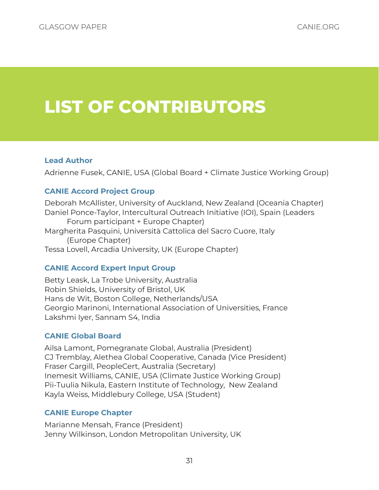# <span id="page-30-0"></span>LIST OF CONTRIBUTORS

### Lead Author

Adrienne Fusek, CANIE, USA (Global Board + Climate Justice Working Group)

### CANIE Accord Project Group

Deborah McAllister, University of Auckland, New Zealand (Oceania Chapter) Daniel Ponce-Taylor, Intercultural Outreach Initiative (IOI), Spain (Leaders Forum participant + Europe Chapter) Margherita Pasquini, Università Cattolica del Sacro Cuore, Italy (Europe Chapter) Tessa Lovell, Arcadia University, UK (Europe Chapter)

### CANIE Accord Expert Input Group

Betty Leask, La Trobe University, Australia Robin Shields, University of Bristol, UK Hans de Wit, Boston College, Netherlands/USA Georgio Marinoni, International Association of Universities, France Lakshmi Iyer, Sannam S4, India

### CANIE Global Board

Ailsa Lamont, Pomegranate Global, Australia (President) CJ Tremblay, Alethea Global Cooperative, Canada (Vice President) Fraser Cargill, PeopleCert, Australia (Secretary) Inemesit Williams, CANIE, USA (Climate Justice Working Group) Pii-Tuulia Nikula, Eastern Institute of Technology, New Zealand Kayla Weiss, Middlebury College, USA (Student)

### CANIE Europe Chapter

Marianne Mensah, France (President) Jenny Wilkinson, London Metropolitan University, UK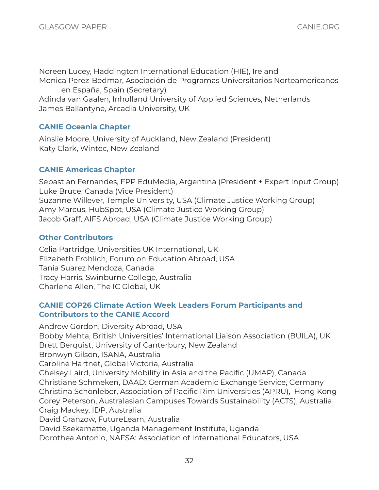Noreen Lucey, Haddington International Education (HIE), Ireland

Monica Perez-Bedmar, Asociación de Programas Universitarios Norteamericanos en España, Spain (Secretary)

Adinda van Gaalen, Inholland University of Applied Sciences, Netherlands James Ballantyne, Arcadia University, UK

### CANIE Oceania Chapter

Ainslie Moore, University of Auckland, New Zealand (President) Katy Clark, Wintec, New Zealand

### CANIE Americas Chapter

Sebastian Fernandes, FPP EduMedia, Argentina (President + Expert Input Group) Luke Bruce, Canada (Vice President) Suzanne Willever, Temple University, USA (Climate Justice Working Group) Amy Marcus, HubSpot, USA (Climate Justice Working Group) Jacob Graff, AIFS Abroad, USA (Climate Justice Working Group)

### Other Contributors

Celia Partridge, Universities UK International, UK Elizabeth Frohlich, Forum on Education Abroad, USA Tania Suarez Mendoza, Canada Tracy Harris, Swinburne College, Australia Charlene Allen, The IC Global, UK

### CANIE COP26 Climate Action Week Leaders Forum Participants and Contributors to the CANIE Accord

Andrew Gordon, Diversity Abroad, USA Bobby Mehta, British Universities' International Liaison Association (BUILA), UK Brett Berquist, University of Canterbury, New Zealand Bronwyn Gilson, ISANA, Australia Caroline Hartnet, Global Victoria, Australia Chelsey Laird, University Mobility in Asia and the Pacific (UMAP), Canada Christiane Schmeken, DAAD: German Academic Exchange Service, Germany Christina Schönleber, Association of Pacific Rim Universities (APRU), Hong Kong Corey Peterson, Australasian Campuses Towards Sustainability (ACTS), Australia Craig Mackey, IDP, Australia David Granzow, FutureLearn, Australia David Ssekamatte, Uganda Management Institute, Uganda Dorothea Antonio, NAFSA: Association of International Educators, USA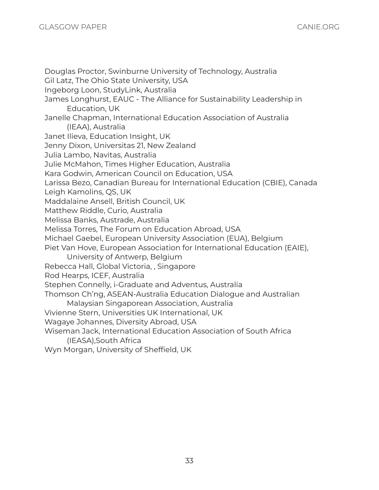Douglas Proctor, Swinburne University of Technology, Australia Gil Latz, The Ohio State University, USA Ingeborg Loon, StudyLink, Australia James Longhurst, EAUC - The Alliance for Sustainability Leadership in Education, UK Janelle Chapman, International Education Association of Australia (IEAA), Australia Janet Ilieva, Education Insight, UK Jenny Dixon, Universitas 21, New Zealand Julia Lambo, Navitas, Australia Julie McMahon, Times Higher Education, Australia Kara Godwin, American Council on Education, USA Larissa Bezo, Canadian Bureau for International Education (CBIE), Canada Leigh Kamolins, QS, UK Maddalaine Ansell, British Council, UK Matthew Riddle, Curio, Australia Melissa Banks, Austrade, Australia Melissa Torres, The Forum on Education Abroad, USA Michael Gaebel, European University Association (EUA), Belgium Piet Van Hove, European Association for International Education (EAIE), University of Antwerp, Belgium Rebecca Hall, Global Victoria, , Singapore Rod Hearps, ICEF, Australia Stephen Connelly, i-Graduate and Adventus, Australia Thomson Ch'ng, ASEAN-Australia Education Dialogue and Australian Malaysian Singaporean Association, Australia Vivienne Stern, Universities UK International, UK Wagaye Johannes, Diversity Abroad, USA Wiseman Jack, International Education Association of South Africa (IEASA),South Africa Wyn Morgan, University of Sheffield, UK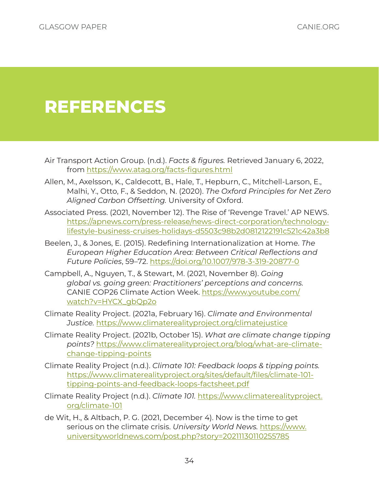# <span id="page-33-0"></span>REFERENCES

- Air Transport Action Group. (n.d.). *Facts & figures.* Retrieved January 6, 2022, from [https://www.atag.org/facts-fi](https://www.atag.org/facts-figures.html)gures.html
- Allen, M., Axelsson, K., Caldecott, B., Hale, T., Hepburn, C., Mitchell-Larson, E., Malhi, Y., Otto, F., & Seddon, N. (2020). *The Oxford Principles for Net Zero Aligned Carbon Offsetting.* University of Oxford.
- Associated Press. (2021, November 12). The Rise of 'Revenge Travel.' AP NEWS. [https://apnews.com/press-release/news-direct-corporation/technology](https://apnews.com/press-release/news-direct-corporation/technology-lifestyle-business-cruises-holidays-d5503c98b2d0812122191c521c42a3b8)[lifestyle-business-cruises-holidays-d5503c98b2d0812122191c521c42a3b8](https://apnews.com/press-release/news-direct-corporation/technology-lifestyle-business-cruises-holidays-d5503c98b2d0812122191c521c42a3b8)
- Beelen, J., & Jones, E. (2015). Redefining Internationalization at Home. *The European Higher Education Area: Between Critical Reflections and Future Policies*, 59–72.<https://doi.org/10.1007/978-3-319-20877-0>
- Campbell, A., Nguyen, T., & Stewart, M. (2021, November 8). *Going global vs. going green: Practitioners' perceptions and concerns.* CANIE COP26 Climate Action Week. [https://www.youtube.com/](https://www.youtube.com/watch?v=HYCX_gbQp2o) [watch?v=HY](https://www.youtube.com/watch?v=HYCX_gbQp2o)CX\_gbQp2o
- Climate Reality Project. (2021a, February 16). *Climate and Environmental Justice.* <https://www.climaterealityproject.org/climatejustice>
- Climate Reality Project. (2021b, October 15). *What are climate change tipping points?* [https://www.climaterealityproject.org/blog/what-are-climate](https://www.climaterealityproject.org/blog/what-are-climate-change-tipping-points)[change-tipping-points](https://www.climaterealityproject.org/blog/what-are-climate-change-tipping-points)
- Climate Reality Project (n.d.). *Climate 101: Feedback loops & tipping points.*  [https://www.climaterealityproject.org/sites/default/files/climate-101](https://www.climaterealityproject.org/sites/default/files/climate-101-tipping-points-and-feedback-loops-factsheet.pdf) [tipping-points-and-feedback-loops-factsheet.pdf](https://www.climaterealityproject.org/sites/default/files/climate-101-tipping-points-and-feedback-loops-factsheet.pdf)
- Climate Reality Project (n.d.). *Climate 101.* [https://www.climaterealityproject.](https://www.climaterealityproject.org/climate-101) [org/climate-101](https://www.climaterealityproject.org/climate-101)
- de Wit, H., & Altbach, P. G. (2021, December 4). Now is the time to get serious on the climate crisis. *University World News.* [https://www.](https://www.universityworldnews.com/post.php?story=20211130110255785) [universityworldnews.com/post.php?story=20211130110255785](https://www.universityworldnews.com/post.php?story=20211130110255785)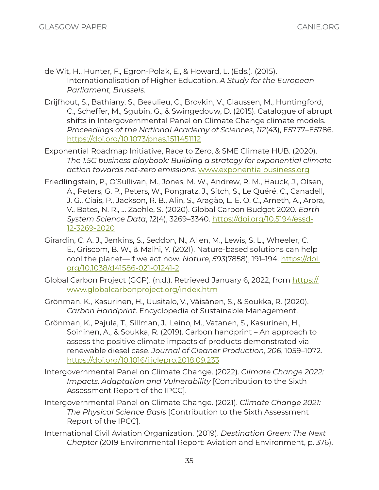- de Wit, H., Hunter, F., Egron-Polak, E., & Howard, L. (Eds.). (2015). Internationalisation of Higher Education. *A Study for the European Parliament, Brussels.*
- Drijfhout, S., Bathiany, S., Beaulieu, C., Brovkin, V., Claussen, M., Huntingford, C., Scheffer, M., Sgubin, G., & Swingedouw, D. (2015). Catalogue of abrupt shifts in Intergovernmental Panel on Climate Change climate models. *Proceedings of the National Academy of Sciences*, *112*(43), E5777–E5786. <https://doi.org/10.1073/pnas.1511451112>
- Exponential Roadmap Initiative, Race to Zero, & SME Climate HUB. (2020). *The 1.5C business playbook: Building a strategy for exponential climate action towards net-zero emissions.* [www.exponentialbusiness.org](http://www.exponentialbusiness.org)
- Friedlingstein, P., O'Sullivan, M., Jones, M. W., Andrew, R. M., Hauck, J., Olsen, A., Peters, G. P., Peters, W., Pongratz, J., Sitch, S., Le Quéré, C., Canadell, J. G., Ciais, P., Jackson, R. B., Alin, S., Aragão, L. E. O. C., Arneth, A., Arora, V., Bates, N. R., … Zaehle, S. (2020). Global Carbon Budget 2020. *Earth System Science Data*, *12*(4), 3269–3340. [https://doi.org/10.5194/essd-](https://doi.org/10.5194/essd-12-3269-2020)[12-3269-2020](https://doi.org/10.5194/essd-12-3269-2020)
- Girardin, C. A. J., Jenkins, S., Seddon, N., Allen, M., Lewis, S. L., Wheeler, C. E., Griscom, B. W., & Malhi, Y. (2021). Nature-based solutions can help cool the planet—If we act now. *Nature*, *593*(7858), 191–194. [https://doi.](https://doi.org/10.1038/d41586-021-01241-2) [org/10.1038/d41586-021-01241-2](https://doi.org/10.1038/d41586-021-01241-2)
- Global Carbon Project (GCP). (n.d.). Retrieved January 6, 2022, from [https://](https://www.globalcarbonproject.org/index.htm) [www.globalcarbonproject.org/index.htm](https://www.globalcarbonproject.org/index.htm)
- Grönman, K., Kasurinen, H., Uusitalo, V., Väisänen, S., & Soukka, R. (2020). *Carbon Handprint*. Encyclopedia of Sustainable Management.
- Grönman, K., Pajula, T., Sillman, J., Leino, M., Vatanen, S., Kasurinen, H., Soininen, A., & Soukka, R. (2019). Carbon handprint – An approach to assess the positive climate impacts of products demonstrated via renewable diesel case. *Journal of Cleaner Production*, *206*, 1059–1072. <https://doi.org/10.1016/j.jclepro.2018.09.233>
- Intergovernmental Panel on Climate Change. (2022). *Climate Change 2022: Impacts, Adaptation and Vulnerability* [Contribution to the Sixth Assessment Report of the IPCC].
- Intergovernmental Panel on Climate Change. (2021). *Climate Change 2021: The Physical Science Basis* [Contribution to the Sixth Assessment Report of the IPCC].
- International Civil Aviation Organization. (2019). *Destination Green: The Next Chapter* (2019 Environmental Report: Aviation and Environment, p. 376).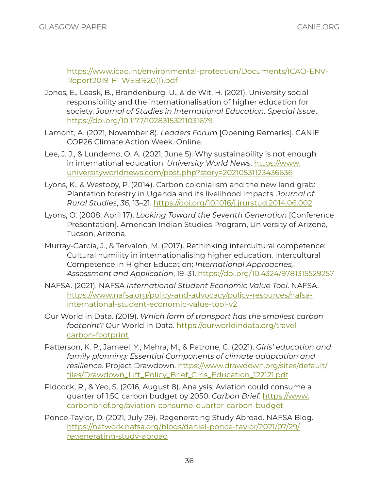[https://www.icao.int/environmental-protection/Documents/ICAO-ENV-](https://www.icao.int/environmental-protection/Documents/ICAO-ENV-Report2019-F1-WEB%20(1).pdf)[Report2019-F1-WEB%20\(1\).pdf](https://www.icao.int/environmental-protection/Documents/ICAO-ENV-Report2019-F1-WEB%20(1).pdf)

- Jones, E., Leask, B., Brandenburg, U., & de Wit, H. (2021). University social responsibility and the internationalisation of higher education for society. *Journal of Studies in International Education, Special Issue*. <https://doi.org/10.1177/10283153211031679>
- Lamont, A. (2021, November 8). *Leaders Forum* [Opening Remarks]. CANIE COP26 Climate Action Week. Online.
- Lee, J. J., & Lundemo, O. A. (2021, June 5). Why sustainability is not enough in international education. *University World News*. [https://www.](https://www.universityworldnews.com/post.php?story=20210531123436636) [universityworldnews.com/post.php?story=20210531123436636](https://www.universityworldnews.com/post.php?story=20210531123436636)
- Lyons, K., & Westoby, P. (2014). Carbon colonialism and the new land grab: Plantation forestry in Uganda and its livelihood impacts. *Journal of Rural Studies*, *36*, 13–21.<https://doi.org/10.1016/j.jrurstud.2014.06.002>
- Lyons, O. (2008, April 17). *Looking Toward the Seventh Generation* [Conference Presentation]. American Indian Studies Program, University of Arizona, Tucson, Arizona.
- Murray-Garcia, J., & Tervalon, M. (2017). Rethinking intercultural competence: Cultural humility in internationalising higher education. Intercultural Competence in Higher Education: *International Approaches, Assessment and Application*, 19–31. <https://doi.org/10.4324/9781315529257>
- NAFSA. (2021). NAFSA *International Student Economic Value Tool*. NAFSA. [https://www.nafsa.org/policy-and-advocacy/policy-resources/nafsa](https://www.nafsa.org/policy-and-advocacy/policy-resources/nafsa-international-student-economic-value-tool-v2)[international-student-economic-value-tool-v2](https://www.nafsa.org/policy-and-advocacy/policy-resources/nafsa-international-student-economic-value-tool-v2)
- Our World in Data. (2019). *Which form of transport has the smallest carbon footprint?* Our World in Data. [https://ourworldindata.org/travel](https://ourworldindata.org/travel-carbon-footprint)[carbon-footprint](https://ourworldindata.org/travel-carbon-footprint)
- Patterson, K. P., Jameel, Y., Mehra, M., & Patrone, C. (2021). *Girls' education and family planning: Essential Components of climate adaptation and resilience*. Project [Drawdown. https://www.drawdown.org/sites/default/](https://www.drawdown.org/sites/default/files/Drawdown_Lift_Policy_Brief_Girls_Education_122121.pdf) [files/Drawdown\\_Lift\\_Policy\\_Brief\\_Girls\\_Education\\_1](https://www.drawdown.org/sites/default/files/Drawdown_Lift_Policy_Brief_Girls_Education_122121.pdf)22121.pdf
- Pidcock, R., & Yeo, S. (2016, August 8). Analysis: Aviation could consume a quarter of 1.5C carbon budget by 2050. *Carbon Brief*. [https://www.](https://www.carbonbrief.org/aviation-consume-quarter-carbon-budget) [carbonbrief.org/aviation-consume-quarter-carbon-budget](https://www.carbonbrief.org/aviation-consume-quarter-carbon-budget)
- Ponce-Taylor, D. (2021, July 29). Regenerating Study Abroad. NAFSA Blog. [https://network.nafsa.org/blogs/daniel-ponce-taylor/2021/07/29/](https://network.nafsa.org/blogs/daniel-ponce-taylor/2021/07/29/regenerating-study-abroad) [regenerating-study-abroad](https://network.nafsa.org/blogs/daniel-ponce-taylor/2021/07/29/regenerating-study-abroad)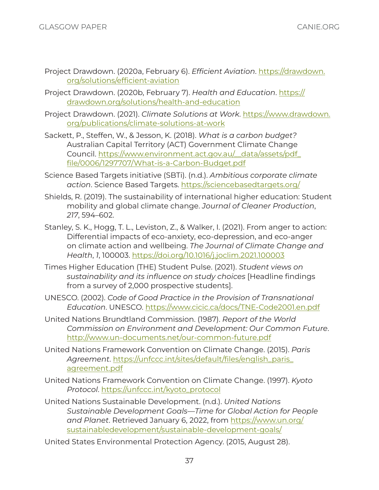- Project Drawdown. (2020a, February 6). *Efficient Aviation*. [https://drawdown.](https://drawdown.org/solutions/efficient-aviation) [org/solutions/efficien](https://drawdown.org/solutions/efficient-aviation)t-aviation
- Project Drawdown. (2020b, February 7). *Health and Education*. [https://](https://drawdown.org/solutions/health-and-education) [drawdown.org/solutions/health-and-education](https://drawdown.org/solutions/health-and-education)
- Project Drawdown. (2021). *Climate Solutions at Work*. [https://www.drawdown.](https://www.drawdown.org/publications/climate-solutions-at-work) [org/publications/climate-solutions-at-work](https://www.drawdown.org/publications/climate-solutions-at-work)
- Sackett, P., Steffen, W., & Jesson, K. (2018). *What is a carbon budget?* Australian Capital Territory (ACT) Government Climate Change Council. [https://www.environment.act.gov.au/\\_\\_data/assets/pdf\\_](https://www.environment.act.gov.au/__data/assets/pdf_file/0006/1297707/What-is-a-Carbon-Budget.pdf) [file/0006/1297707/What-is-a-Carbon-](https://www.environment.act.gov.au/__data/assets/pdf_file/0006/1297707/What-is-a-Carbon-Budget.pdf)Budget.pdf
- Science Based Targets initiative (SBTi). (n.d.). *Ambitious corporate climate action*. Science Based Targets. <https://sciencebasedtargets.org/>
- Shields, R. (2019). The sustainability of international higher education: Student mobility and global climate change. *Journal of Cleaner Production*, *217*, 594–602.
- Stanley, S. K., Hogg, T. L., Leviston, Z., & Walker, I. (2021). From anger to action: Differential impacts of eco-anxiety, eco-depression, and eco-anger on climate action and wellbeing. *The Journal of Climate Change and Health*, *1*, 100003. <https://doi.org/10.1016/j.joclim.2021.100003>
- Times Higher Education (THE) Student Pulse. (2021). *Student views on sustainability and its influence on study choices* [Headline findings from a survey of 2,000 prospective students].
- UNESCO. (2002). *Code of Good Practice in the Provision of Transnational Education*. UNESCO. <https://www.cicic.ca/docs/TNE-Code2001.en.pdf>
- United Nations Brundtland Commission. (1987). *Report of the World Commission on Environment and Development: Our Common Future*. <http://www.un-documents.net/our-common-future.pdf>
- United Nations Framework Convention on Climate Change. (2015). *Paris Agreement*. [https://unfccc.int/sites/default/files/english\\_paris\\_](https://unfccc.int/sites/default/files/english_paris_agreement.pdf) [agreement.pdf](https://unfccc.int/sites/default/files/english_paris_agreement.pdf)
- United Nations Framework Convention on Climate Change. (1997). *Kyoto Protocol*. [https://unfccc.int/kyoto\\_protocol](https://unfccc.int/kyoto_protocol)
- United Nations Sustainable Development. (n.d.). *United Nations Sustainable Development Goals—Time for Global Action for People and Planet*. Retrieved January 6, 2022, from [https://www.un.org/](https://www.un.org/sustainabledevelopment/sustainable-development-goals/) [sustainabledevelopment/sustainable-development-goals/](https://www.un.org/sustainabledevelopment/sustainable-development-goals/)

United States Environmental Protection Agency. (2015, August 28).